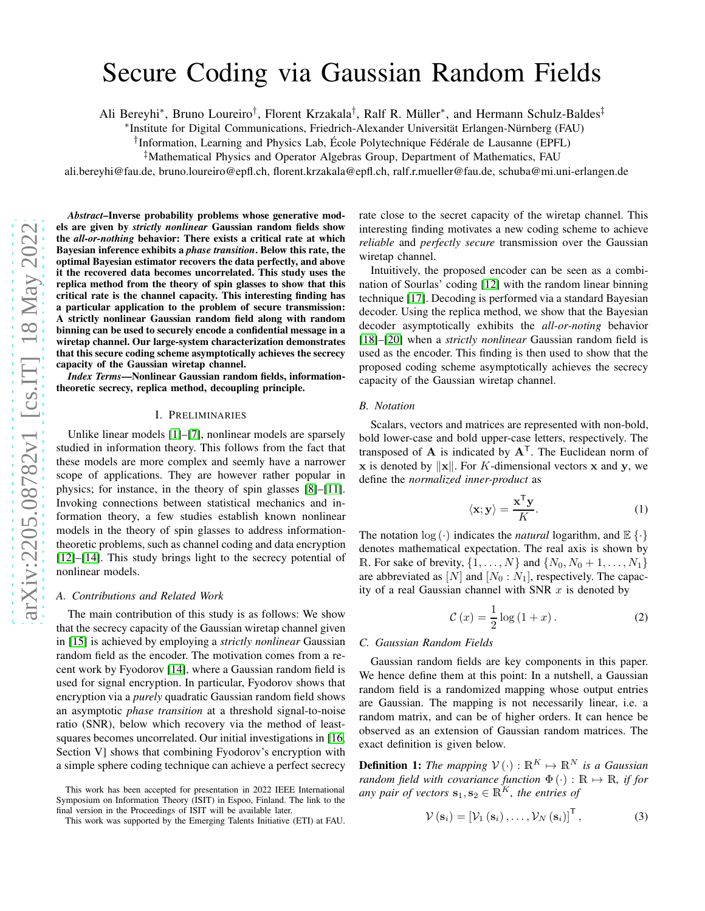# Secure Coding via Gaussian Random Fields

Ali Bereyhi\*, Bruno Loureiro<sup>†</sup>, Florent Krzakala<sup>†</sup>, Ralf R. Müller\*, and Hermann Schulz-Baldes<sup>‡</sup>

∗ Institute for Digital Communications, Friedrich-Alexander Universität Erlangen-Nürnberg (FAU)

† Information, Learning and Physics Lab, École Polytechnique Fédérale de Lausanne (EPFL)

‡Mathematical Physics and Operator Algebras Group, Department of Mathematics, FAU

ali.bereyhi@fau.de, bruno.loureiro@epfl.ch, florent.krzakala@epfl.ch, ralf.r.mueller@fau.de, schuba@mi.uni-erlangen.de

*Abstract*–Inverse probability problems whose generative models are given by *strictly nonlinear* Gaussian random fields show the *all-or-nothing* behavior: There exists a critical rate at which Bayesian inference exhibits a *phase transition*. Below this rate, the optimal Bayesian estimator recovers the data perfectly, and above it the recovered data becomes uncorrelated. This study uses the replica method from the theory of spin glasses to show that this critical rate is the channel capacity. This interesting finding has a particular application to the problem of secure transmission: A strictly nonlinear Gaussian random field along with random binning can be used to securely encode a confidential message in a wiretap channel. Our large-system characterization demonstrates that this secure coding scheme asymptotically achieves the secrecy capacity of the Gaussian wiretap channel.

*Index Terms*—Nonlinear Gaussian random fields, informationtheoretic secrecy, replica method, decoupling principle.

### I. PRELIMINARIES

Unlike linear models [\[1\]](#page-5-0)–[\[7\]](#page-5-1), nonlinear models are sparsely studied in information theory. This follows from the fact that these models are more complex and seemly have a narrower scope of applications. They are however rather popular in physics; for instance, in the theory of spin glasses [\[8\]](#page-5-2)–[\[11\]](#page-5-3). Invoking connections between statistical mechanics and information theory, a few studies establish known nonlinear models in the theory of spin glasses to address informationtheoretic problems, such as channel coding and data encryption [\[12\]](#page-5-4)–[\[14\]](#page-5-5). This study brings light to the secrecy potential of nonlinear models.

## *A. Contributions and Related Work*

The main contribution of this study is as follows: We show that the secrecy capacity of the Gaussian wiretap channel given in [\[15\]](#page-5-6) is achieved by employing a *strictly nonlinear* Gaussian random field as the encoder. The motivation comes from a recent work by Fyodorov [\[14\]](#page-5-5), where a Gaussian random field is used for signal encryption. In particular, Fyodorov shows that encryption via a *purely* quadratic Gaussian random field shows an asymptotic *phase transition* at a threshold signal-to-noise ratio (SNR), below which recovery via the method of leastsquares becomes uncorrelated. Our initial investigations in [\[16,](#page-5-7) Section V] shows that combining Fyodorov's encryption with a simple sphere coding technique can achieve a perfect secrecy

rate close to the secret capacity of the wiretap channel. This interesting finding motivates a new coding scheme to achieve *reliable* and *perfectly secure* transmission over the Gaussian wiretap channel.

Intuitively, the proposed encoder can be seen as a combination of Sourlas' coding [\[12\]](#page-5-4) with the random linear binning technique [\[17\]](#page-5-8). Decoding is performed via a standard Bayesian decoder. Using the replica method, we show that the Bayesian decoder asymptotically exhibits the *all-or-noting* behavior [\[18\]](#page-5-9)–[\[20\]](#page-5-10) when a *strictly nonlinear* Gaussian random field is used as the encoder. This finding is then used to show that the proposed coding scheme asymptotically achieves the secrecy capacity of the Gaussian wiretap channel.

#### *B. Notation*

Scalars, vectors and matrices are represented with non-bold, bold lower-case and bold upper-case letters, respectively. The transposed of A is indicated by  $A<sup>T</sup>$ . The Euclidean norm of x is denoted by  $\Vert x \Vert$ . For K-dimensional vectors x and y, we define the *normalized inner-product* as

$$
\langle \mathbf{x}, \mathbf{y} \rangle = \frac{\mathbf{x}^{\mathsf{T}} \mathbf{y}}{K}.
$$
 (1)

The notation  $log(\cdot)$  indicates the *natural* logarithm, and  $\mathbb{E}\{\cdot\}$ denotes mathematical expectation. The real axis is shown by R. For sake of brevity,  $\{1, \ldots, N\}$  and  $\{N_0, N_0 + 1, \ldots, N_1\}$ are abbreviated as  $[N]$  and  $[N_0 : N_1]$ , respectively. The capacity of a real Gaussian channel with SNR  $x$  is denoted by

$$
\mathcal{C}\left(x\right) = \frac{1}{2}\log\left(1+x\right). \tag{2}
$$

## *C. Gaussian Random Fields*

Gaussian random fields are key components in this paper. We hence define them at this point: In a nutshell, a Gaussian random field is a randomized mapping whose output entries are Gaussian. The mapping is not necessarily linear, i.e. a random matrix, and can be of higher orders. It can hence be observed as an extension of Gaussian random matrices. The exact definition is given below.

**Definition 1:** *The mapping*  $V(\cdot) : \mathbb{R}^K \mapsto \mathbb{R}^N$  *is a Gaussian random field with covariance function*  $\Phi(\cdot) : \mathbb{R} \mapsto \mathbb{R}$ *, if for any pair of vectors*  $\mathbf{s}_1, \mathbf{s}_2 \in \mathbb{R}^K$ *, the entries of* 

$$
\mathcal{V}\left(\mathbf{s}_{i}\right) = \left[\mathcal{V}_{1}\left(\mathbf{s}_{i}\right), \ldots, \mathcal{V}_{N}\left(\mathbf{s}_{i}\right)\right]^{\mathsf{T}},\tag{3}
$$

This work has been accepted for presentation in 2022 IEEE International Symposium on Information Theory (ISIT) in Espoo, Finland. The link to the final version in the Proceedings of ISIT will be available later.

This work was supported by the Emerging Talents Initiative (ETI) at FAU.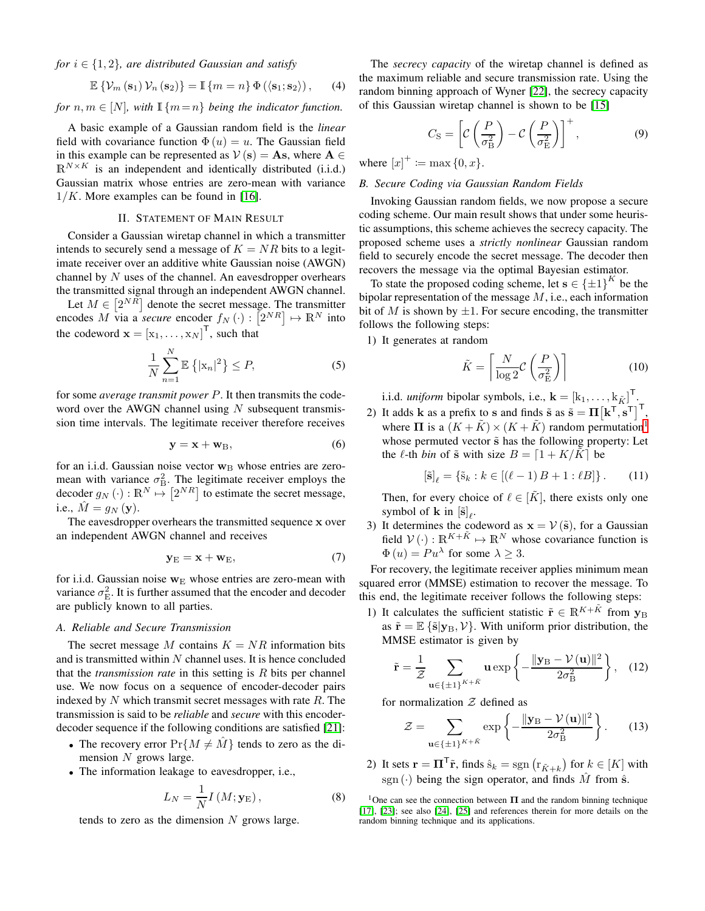*for*  $i \in \{1, 2\}$ *, are distributed Gaussian and satisfy* 

$$
\mathbb{E}\left\{\mathcal{V}_m\left(\mathbf{s}_1\right)\mathcal{V}_n\left(\mathbf{s}_2\right)\right\}=\mathbb{I}\left\{m=n\right\}\Phi\left(\left\langle \mathbf{s}_1;\mathbf{s}_2\right\rangle\right),\qquad(4)
$$

*for*  $n, m \in [N]$ *, with*  $\mathbb{I} \{m = n\}$  *being the indicator function.* 

A basic example of a Gaussian random field is the *linear* field with covariance function  $\Phi(u) = u$ . The Gaussian field in this example can be represented as  $V(\mathbf{s}) = \mathbf{A}\mathbf{s}$ , where  $\mathbf{A} \in \mathbb{R}$  $\mathbb{R}^{N \times K}$  is an independent and identically distributed (i.i.d.) Gaussian matrix whose entries are zero-mean with variance  $1/K$ . More examples can be found in [\[16\]](#page-5-7).

## II. STATEMENT OF MAIN RESULT

Consider a Gaussian wiretap channel in which a transmitter intends to securely send a message of  $K = NR$  bits to a legitimate receiver over an additive white Gaussian noise (AWGN) channel by  $N$  uses of the channel. An eavesdropper overhears the transmitted signal through an independent AWGN channel.

Let  $M \in [2^{NR}]$  denote the secret message. The transmitter encodes M via a *secure* encoder  $f_N(\cdot) : [\mathbb{Z}^{NR}] \mapsto \mathbb{R}^N$  into the codeword  $\mathbf{x} = [x_1, \dots, x_N]^\mathsf{T}$ , such that

$$
\frac{1}{N} \sum_{n=1}^{N} \mathbb{E} \left\{ |\mathbf{x}_n|^2 \right\} \le P,\tag{5}
$$

for some *average transmit power* P. It then transmits the codeword over the AWGN channel using  $N$  subsequent transmission time intervals. The legitimate receiver therefore receives

$$
y = x + w_B, \tag{6}
$$

for an i.i.d. Gaussian noise vector  $w_B$  whose entries are zeromean with variance  $\sigma_{\rm B}^2$ . The legitimate receiver employs the decoder  $g_N(\cdot): \mathbb{R}^N \mapsto [2^{NR}]$  to estimate the secret message, i.e.,  $\hat{M} = g_N(\mathbf{y}).$ 

The eavesdropper overhears the transmitted sequence x over an independent AWGN channel and receives

$$
y_{E} = x + w_{E}, \tag{7}
$$

for i.i.d. Gaussian noise  $w<sub>E</sub>$  whose entries are zero-mean with variance  $\sigma_{\rm E}^2$ . It is further assumed that the encoder and decoder are publicly known to all parties.

### *A. Reliable and Secure Transmission*

The secret message M contains  $K = NR$  information bits and is transmitted within  $N$  channel uses. It is hence concluded that the *transmission rate* in this setting is R bits per channel use. We now focus on a sequence of encoder-decoder pairs indexed by  $N$  which transmit secret messages with rate  $R$ . The transmission is said to be *reliable* and *secure* with this encoderdecoder sequence if the following conditions are satisfied [\[21\]](#page-5-11):

- The recovery error  $Pr{M \neq M}$  tends to zero as the dimension  $N$  grows large.
- The information leakage to eavesdropper, i.e.,

$$
L_N = \frac{1}{N} I\left(M; \mathbf{y}_{\mathrm{E}}\right),\tag{8}
$$

tends to zero as the dimension  $N$  grows large.

The *secrecy capacity* of the wiretap channel is defined as the maximum reliable and secure transmission rate. Using the random binning approach of Wyner [\[22\]](#page-5-12), the secrecy capacity of this Gaussian wiretap channel is shown to be [\[15\]](#page-5-6)

$$
C_{\rm S} = \left[ \mathcal{C} \left( \frac{P}{\sigma_{\rm B}^2} \right) - \mathcal{C} \left( \frac{P}{\sigma_{\rm E}^2} \right) \right]^+, \tag{9}
$$

<span id="page-1-1"></span>where  $[x]^{+} := \max\{0, x\}.$ 

## *B. Secure Coding via Gaussian Random Fields*

Invoking Gaussian random fields, we now propose a secure coding scheme. Our main result shows that under some heuristic assumptions, this scheme achieves the secrecy capacity. The proposed scheme uses a *strictly nonlinear* Gaussian random field to securely encode the secret message. The decoder then recovers the message via the optimal Bayesian estimator.

To state the proposed coding scheme, let  $s \in {\pm 1}^K$  be the bipolar representation of the message M, i.e., each information bit of M is shown by  $\pm 1$ . For secure encoding, the transmitter follows the following steps:

1) It generates at random

$$
\tilde{K} = \left\lceil \frac{N}{\log 2} \mathcal{C} \left( \frac{P}{\sigma_{\rm E}^2} \right) \right\rceil \tag{10}
$$

i.i.d. *uniform* bipolar symbols, i.e.,  $\mathbf{k} = [k_1, \dots, k_{\tilde{K}}]^T$ .

2) It adds **k** as a prefix to s and finds  $\tilde{s}$  as  $\tilde{s} = \Pi [k^\top, s^\top]^\top$ , where  $\Pi$  is a  $(K + \tilde{K}) \times (K + \tilde{K})$  random permutation<sup>[1](#page-1-0)</sup> whose permuted vector  $\tilde{s}$  has the following property: Let the  $\ell$ -th *bin* of  $\tilde{s}$  with size  $B = \lfloor 1 + K/K \rfloor$  be

$$
[\tilde{\mathbf{s}}]_{\ell} = {\tilde{\mathbf{s}}_k : k \in [(\ell - 1)B + 1 : \ell B]}.
$$
 (11)

Then, for every choice of  $\ell \in [\tilde{K}]$ , there exists only one symbol of **k** in  $[\tilde{\mathbf{s}}]_l$ .

3) It determines the codeword as  $x = V(\tilde{s})$ , for a Gaussian field  $V(\cdot): \mathbb{R}^{K+\tilde{K}} \mapsto \mathbb{R}^N$  whose covariance function is  $\Phi(u) = Pu^{\lambda}$  for some  $\lambda \geq 3$ .

For recovery, the legitimate receiver applies minimum mean squared error (MMSE) estimation to recover the message. To this end, the legitimate receiver follows the following steps:

1) It calculates the sufficient statistic  $\tilde{\mathbf{r}} \in \mathbb{R}^{K+\tilde{K}}$  from  $\mathbf{y}_B$ as  $\tilde{\mathbf{r}} = \mathbb{E} \{ \tilde{\mathbf{s}} | \mathbf{y}_B, \mathcal{V} \}$ . With uniform prior distribution, the MMSE estimator is given by

$$
\tilde{\mathbf{r}} = \frac{1}{\mathcal{Z}} \sum_{\mathbf{u} \in \{\pm 1\}^{K + \tilde{K}}} \mathbf{u} \exp\left\{-\frac{\|\mathbf{y}_B - \mathcal{V}(\mathbf{u})\|^2}{2\sigma_B^2}\right\}, \quad (12)
$$

for normalization  $Z$  defined as

$$
\mathcal{Z} = \sum_{\mathbf{u} \in \{\pm 1\}^{K + \tilde{K}}} \exp\left\{-\frac{\|\mathbf{y}_{\mathrm{B}} - \mathcal{V}(\mathbf{u})\|^2}{2\sigma_{\mathrm{B}}^2}\right\}.
$$
 (13)

2) It sets  $\mathbf{r} = \mathbf{\Pi}^{\mathsf{T}} \tilde{\mathbf{r}}$ , finds  $\hat{\mathbf{s}}_k = \text{sgn} \left( \mathbf{r}_{\tilde{K}+k} \right)$  for  $k \in [K]$  with sgn (·) being the sign operator, and finds  $\tilde{M}$  from  $\hat{s}$ .

<span id="page-1-0"></span><sup>1</sup>One can see the connection between  $\Pi$  and the random binning technique [\[17\]](#page-5-8), [\[23\]](#page-5-13); see also [\[24\]](#page-5-14), [\[25\]](#page-5-15) and references therein for more details on the random binning technique and its applications.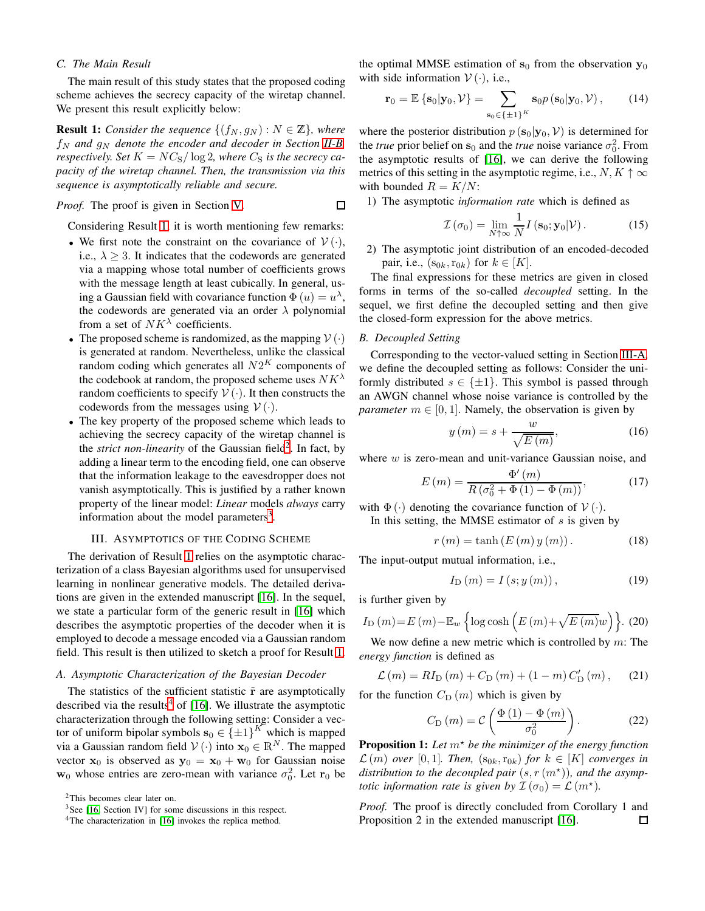## *C. The Main Result*

The main result of this study states that the proposed coding scheme achieves the secrecy capacity of the wiretap channel. We present this result explicitly below:

<span id="page-2-0"></span>**Result 1:** *Consider the sequence*  $\{(f_N, g_N) : N \in \mathbb{Z}\}\$ , where  $f_N$  and  $g_N$  denote the encoder and decoder in Section [II-B,](#page-1-1) *respectively. Set*  $K = NC_S/\log 2$ *, where*  $C_S$  *is the secrecy capacity of the wiretap channel. Then, the transmission via this sequence is asymptotically reliable and secure.*

*Proof.* The proof is given in Section [V.](#page-3-0)  $\Box$ 

Considering Result [1,](#page-2-0) it is worth mentioning few remarks:

- We first note the constraint on the covariance of  $V(\cdot)$ , i.e.,  $\lambda \geq 3$ . It indicates that the codewords are generated via a mapping whose total number of coefficients grows with the message length at least cubically. In general, using a Gaussian field with covariance function  $\tilde{\Phi}(u) = u^{\lambda}$ , the codewords are generated via an order  $\lambda$  polynomial from a set of  $NK^{\lambda}$  coefficients.
- The proposed scheme is randomized, as the mapping  $V(\cdot)$ is generated at random. Nevertheless, unlike the classical random coding which generates all  $N2^K$  components of the codebook at random, the proposed scheme uses  $NK^{\lambda}$ random coefficients to specify  $V(\cdot)$ . It then constructs the codewords from the messages using  $V(\cdot)$ .
- The key property of the proposed scheme which leads to achieving the secrecy capacity of the wiretap channel is the *strict non-linearity* of the Gaussian field<sup>[2](#page-2-1)</sup>. In fact, by adding a linear term to the encoding field, one can observe that the information leakage to the eavesdropper does not vanish asymptotically. This is justified by a rather known property of the linear model: *Linear* models *always* carry information about the model parameters<sup>[3](#page-2-2)</sup>.

## III. ASYMPTOTICS OF THE CODING SCHEME

The derivation of Result [1](#page-2-0) relies on the asymptotic characterization of a class Bayesian algorithms used for unsupervised learning in nonlinear generative models. The detailed derivations are given in the extended manuscript [\[16\]](#page-5-7). In the sequel, we state a particular form of the generic result in [\[16\]](#page-5-7) which describes the asymptotic properties of the decoder when it is employed to decode a message encoded via a Gaussian random field. This result is then utilized to sketch a proof for Result [1.](#page-2-0)

## <span id="page-2-4"></span>*A. Asymptotic Characterization of the Bayesian Decoder*

The statistics of the sufficient statistic  $\tilde{r}$  are asymptotically described via the results<sup>[4](#page-2-3)</sup> of [\[16\]](#page-5-7). We illustrate the asymptotic characterization through the following setting: Consider a vector of uniform bipolar symbols  $s_0 \in {\{\pm 1\}}^K$  which is mapped via a Gaussian random field  $V(\cdot)$  into  $\mathbf{x}_0 \in \mathbb{R}^N$ . The mapped vector  $x_0$  is observed as  $y_0 = x_0 + w_0$  for Gaussian noise  $w_0$  whose entries are zero-mean with variance  $\sigma_0^2$ . Let  $r_0$  be

<sup>2</sup>This becomes clear later on.

the optimal MMSE estimation of  $s_0$  from the observation  $y_0$ with side information  $V(\cdot)$ , i.e.,

$$
\mathbf{r}_0 = \mathbb{E}\left\{\mathbf{s}_0|\mathbf{y}_0,\mathcal{V}\right\} = \sum_{\mathbf{s}_0 \in \{\pm 1\}^K} \mathbf{s}_0 p\left(\mathbf{s}_0|\mathbf{y}_0,\mathcal{V}\right),\qquad(14)
$$

where the posterior distribution  $p(s_0|\mathbf{y}_0, V)$  is determined for the *true* prior belief on  $s_0$  and the *true* noise variance  $\sigma_0^2$ . From the asymptotic results of [\[16\]](#page-5-7), we can derive the following metrics of this setting in the asymptotic regime, i.e.,  $N, K \uparrow \infty$ with bounded  $R = K/N$ :

1) The asymptotic *information rate* which is defined as

$$
\mathcal{I}\left(\sigma_{0}\right) = \lim_{N \uparrow \infty} \frac{1}{N} I\left(\mathbf{s}_{0}; \mathbf{y}_{0} | \mathcal{V}\right). \tag{15}
$$

2) The asymptotic joint distribution of an encoded-decoded pair, i.e.,  $(s_{0k}, r_{0k})$  for  $k \in [K]$ .

The final expressions for these metrics are given in closed forms in terms of the so-called *decoupled* setting. In the sequel, we first define the decoupled setting and then give the closed-form expression for the above metrics.

## *B. Decoupled Setting*

Corresponding to the vector-valued setting in Section [III-A,](#page-2-4) we define the decoupled setting as follows: Consider the uniformly distributed  $s \in {\pm 1}$ . This symbol is passed through an AWGN channel whose noise variance is controlled by the *parameter*  $m \in [0, 1]$ . Namely, the observation is given by

$$
y(m) = s + \frac{w}{\sqrt{E(m)}},\tag{16}
$$

where  $w$  is zero-mean and unit-variance Gaussian noise, and

$$
E(m) = \frac{\Phi'(m)}{R(\sigma_0^2 + \Phi(1) - \Phi(m))},
$$
\n(17)

with  $\Phi(\cdot)$  denoting the covariance function of  $V(\cdot)$ .

In this setting, the MMSE estimator of  $s$  is given by

$$
r(m) = \tanh\left(E\left(m\right)y\left(m\right)\right). \tag{18}
$$

The input-output mutual information, i.e.,

$$
I_{\mathcal{D}}(m) = I(s; y(m)),\tag{19}
$$

is further given by

$$
I_{\text{D}}\left(m\right) = E\left(m\right) - \mathbb{E}_{w} \left\{ \log \cosh \left(E\left(m\right) + \sqrt{E\left(m\right)}w\right) \right\}.
$$
 (20)

We now define a new metric which is controlled by  $m$ : The *energy function* is defined as

$$
\mathcal{L}(m) = RI_{\rm D}(m) + C_{\rm D}(m) + (1 - m) C_{\rm D}'(m), \quad (21)
$$

for the function  $C_{\text{D}}(m)$  which is given by

$$
C_{\text{D}}\left(m\right) = \mathcal{C}\left(\frac{\Phi\left(1\right) - \Phi\left(m\right)}{\sigma_0^2}\right). \tag{22}
$$

<span id="page-2-5"></span>**Proposition 1:** Let  $m^*$  be the minimizer of the energy function  $\mathcal{L}(m)$  *over* [0,1]*. Then,*  $(s_{0k}, r_{0k})$  *for*  $k \in [K]$  *converges in* distribution to the decoupled pair  $(s, r(m^*))$ , and the asymp*totic information rate is given by*  $\mathcal{I}(\sigma_0) = \mathcal{L}(m^*)$ .

*Proof.* The proof is directly concluded from Corollary 1 and Proposition 2 in the extended manuscript [\[16\]](#page-5-7).口

<span id="page-2-1"></span><sup>&</sup>lt;sup>3</sup>See [\[16,](#page-5-7) Section IV] for some discussions in this respect.

<span id="page-2-3"></span><span id="page-2-2"></span><sup>4</sup>The characterization in [\[16\]](#page-5-7) invokes the replica method.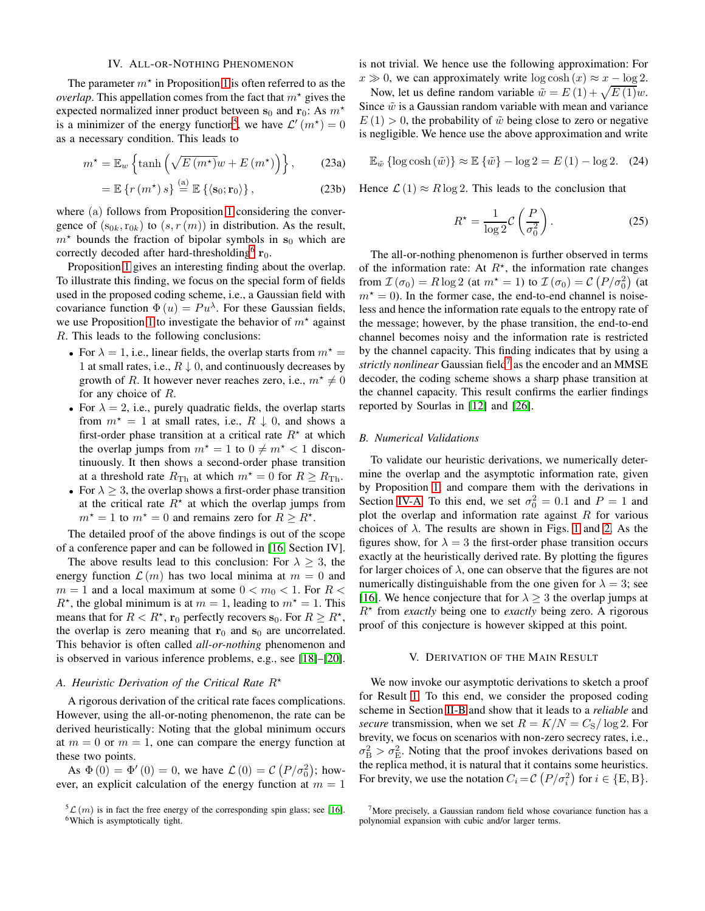## IV. ALL-OR-NOTHING PHENOMENON

<span id="page-3-5"></span>The parameter  $m^*$  in Proposition [1](#page-2-5) is often referred to as the *overlap*. This appellation comes from the fact that  $m^*$  gives the expected normalized inner product between  $s_0$  and  $r_0$ : As  $m^*$ is a minimizer of the energy function<sup>[5](#page-3-1)</sup>, we have  $\mathcal{L}'(m^*)=0$ as a necessary condition. This leads to

$$
m^* = \mathbb{E}_w \left\{ \tanh \left( \sqrt{E \left( m^* \right)} w + E \left( m^* \right) \right) \right\},\qquad(23a)
$$

$$
= \mathbb{E}\left\{r\left(m^{\star}\right)s\right\} \stackrel{\text{(a)}}{=} \mathbb{E}\left\{\left\langle \mathbf{s}_0; \mathbf{r}_0 \right\rangle\right\},\tag{23b}
$$

where (a) follows from Proposition [1](#page-2-5) considering the convergence of  $(s_{0k},r_{0k})$  to  $(s, r(m))$  in distribution. As the result,  $m<sup>*</sup>$  bounds the fraction of bipolar symbols in s<sub>0</sub> which are correctly decoded after hard-thresholding<sup>[6](#page-3-2)</sup>  $\mathbf{r}_0$ .

Proposition [1](#page-2-5) gives an interesting finding about the overlap. To illustrate this finding, we focus on the special form of fields used in the proposed coding scheme, i.e., a Gaussian field with covariance function  $\Phi(u) = Pu^{\lambda}$ . For these Gaussian fields, we use Proposition [1](#page-2-5) to investigate the behavior of  $m^*$  against R. This leads to the following conclusions:

- For  $\lambda = 1$ , i.e., linear fields, the overlap starts from  $m^* =$ 1 at small rates, i.e.,  $R \downarrow 0$ , and continuously decreases by growth of R. It however never reaches zero, i.e.,  $m^* \neq 0$ for any choice of R.
- For  $\lambda = 2$ , i.e., purely quadratic fields, the overlap starts from  $m^* = 1$  at small rates, i.e.,  $R \downarrow 0$ , and shows a first-order phase transition at a critical rate  $R^*$  at which the overlap jumps from  $m^* = 1$  to  $0 \neq m^* < 1$  discontinuously. It then shows a second-order phase transition at a threshold rate  $R_{\text{Th}}$  at which  $m^* = 0$  for  $R \ge R_{\text{Th}}$ .
- For  $\lambda \geq 3$ , the overlap shows a first-order phase transition at the critical rate  $\overrightarrow{R}^*$  at which the overlap jumps from  $m^* = 1$  to  $m^* = 0$  and remains zero for  $R \geq R^*$ .

The detailed proof of the above findings is out of the scope of a conference paper and can be followed in [\[16,](#page-5-7) Section IV].

The above results lead to this conclusion: For  $\lambda \geq 3$ , the energy function  $\mathcal{L}(m)$  has two local minima at  $m = 0$  and  $m = 1$  and a local maximum at some  $0 < m<sub>0</sub> < 1$ . For  $R <$  $R^*$ , the global minimum is at  $m = 1$ , leading to  $m^* = 1$ . This means that for  $R < R^*$ ,  $\mathbf{r}_0$  perfectly recovers  $\mathbf{s}_0$ . For  $R \geq R^*$ , the overlap is zero meaning that  $r_0$  and  $s_0$  are uncorrelated. This behavior is often called *all-or-nothing* phenomenon and is observed in various inference problems, e.g., see [\[18\]](#page-5-9)–[\[20\]](#page-5-10).

## <span id="page-3-4"></span>*A. Heuristic Derivation of the Critical Rate*  $R^*$

A rigorous derivation of the critical rate faces complications. However, using the all-or-noting phenomenon, the rate can be derived heuristically: Noting that the global minimum occurs at  $m = 0$  or  $m = 1$ , one can compare the energy function at these two points.

As  $\Phi(0) = \Phi'(0) = 0$ , we have  $\mathcal{L}(0) = \mathcal{C}(P/\sigma_0^2)$ ; however, an explicit calculation of the energy function at  $m = 1$  is not trivial. We hence use the following approximation: For  $x \gg 0$ , we can approximately write  $\log \cosh(x) \approx x - \log 2$ .

Now, let us define random variable  $\tilde{w} = E(1) + \sqrt{E(1)}w$ . Since  $\tilde{w}$  is a Gaussian random variable with mean and variance  $E(1) > 0$ , the probability of  $\tilde{w}$  being close to zero or negative is negligible. We hence use the above approximation and write

$$
\mathbb{E}_{\tilde{w}}\left\{\log\cosh\left(\tilde{w}\right)\right\} \approx \mathbb{E}\left\{\tilde{w}\right\} - \log 2 = E\left(1\right) - \log 2. \quad (24)
$$

Hence  $\mathcal{L}(1) \approx R \log 2$ . This leads to the conclusion that

$$
R^* = \frac{1}{\log 2} C \left(\frac{P}{\sigma_0^2}\right). \tag{25}
$$

The all-or-nothing phenomenon is further observed in terms of the information rate: At  $R^*$ , the information rate changes from  $\mathcal{I}(\sigma_0) = R \log 2$  (at  $m^* = 1$ ) to  $\mathcal{I}(\sigma_0) = C(P/\sigma_0^2)$  (at  $m<sup>*</sup> = 0$ ). In the former case, the end-to-end channel is noiseless and hence the information rate equals to the entropy rate of the message; however, by the phase transition, the end-to-end channel becomes noisy and the information rate is restricted by the channel capacity. This finding indicates that by using a strictly nonlinear Gaussian field<sup>[7](#page-3-3)</sup> as the encoder and an MMSE decoder, the coding scheme shows a sharp phase transition at the channel capacity. This result confirms the earlier findings reported by Sourlas in [\[12\]](#page-5-4) and [\[26\]](#page-5-16).

## *B. Numerical Validations*

To validate our heuristic derivations, we numerically determine the overlap and the asymptotic information rate, given by Proposition [1,](#page-2-5) and compare them with the derivations in Section [IV-A.](#page-3-4) To this end, we set  $\sigma_0^2 = 0.1$  and  $P = 1$  and plot the overlap and information rate against  $R$  for various choices of  $\lambda$ . The results are shown in Figs. [1](#page-4-0) and [2.](#page-4-1) As the figures show, for  $\lambda = 3$  the first-order phase transition occurs exactly at the heuristically derived rate. By plotting the figures for larger choices of  $\lambda$ , one can observe that the figures are not numerically distinguishable from the one given for  $\lambda = 3$ ; see [\[16\]](#page-5-7). We hence conjecture that for  $\lambda > 3$  the overlap jumps at  $R^*$  from *exactly* being one to *exactly* being zero. A rigorous proof of this conjecture is however skipped at this point.

## V. DERIVATION OF THE MAIN RESULT

<span id="page-3-0"></span>We now invoke our asymptotic derivations to sketch a proof for Result [1.](#page-2-0) To this end, we consider the proposed coding scheme in Section [II-B](#page-1-1) and show that it leads to a *reliable* and *secure* transmission, when we set  $R = K/N = C_S/\log 2$ . For brevity, we focus on scenarios with non-zero secrecy rates, i.e.,  $\sigma_{\rm B}^2 > \sigma_{\rm E}^2$ . Noting that the proof invokes derivations based on the replica method, it is natural that it contains some heuristics. For brevity, we use the notation  $C_i = \mathcal{C} (P/\sigma_i^2)$  for  $i \in \{E, B\}$ .

<span id="page-3-2"></span><span id="page-3-1"></span> ${}^5\mathcal{L}(m)$  is in fact the free energy of the corresponding spin glass; see [\[16\]](#page-5-7). <sup>6</sup>Which is asymptotically tight.

<span id="page-3-3"></span> $7$ More precisely, a Gaussian random field whose covariance function has a polynomial expansion with cubic and/or larger terms.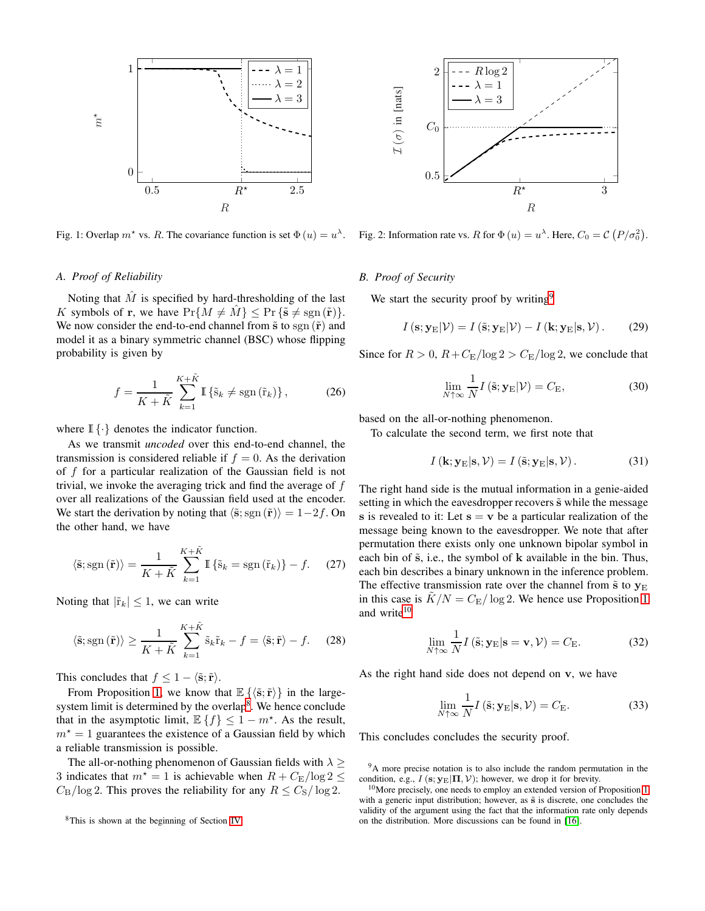<span id="page-4-0"></span>

Fig. 1: Overlap  $m^*$  vs. R. The covariance function is set  $\Phi(u) = u^{\lambda}$ .

## *A. Proof of Reliability*

Noting that  $\hat{M}$  is specified by hard-thresholding of the last K symbols of r, we have  $Pr\{M \neq M\}$  <  $Pr\{\tilde{s} \neq \text{sgn}(\tilde{r})\}.$ We now consider the end-to-end channel from  $\tilde{s}$  to sgn  $(\tilde{r})$  and model it as a binary symmetric channel (BSC) whose flipping probability is given by

$$
f = \frac{1}{K + \tilde{K}} \sum_{k=1}^{K + \tilde{K}} \mathbb{I} \left\{ \tilde{s}_k \neq \text{sgn} \left( \tilde{r}_k \right) \right\},\tag{26}
$$

where  $\mathbb{I} \{\cdot\}$  denotes the indicator function.

As we transmit *uncoded* over this end-to-end channel, the transmission is considered reliable if  $f = 0$ . As the derivation of  $f$  for a particular realization of the Gaussian field is not trivial, we invoke the averaging trick and find the average of f over all realizations of the Gaussian field used at the encoder. We start the derivation by noting that  $\langle \tilde{s}; sgn(\tilde{r}) \rangle = 1-2f$ . On the other hand, we have

$$
\langle \tilde{\mathbf{s}}; \operatorname{sgn}(\tilde{\mathbf{r}}) \rangle = \frac{1}{K + \tilde{K}} \sum_{k=1}^{K + \tilde{K}} \mathbb{I} \left\{ \tilde{\mathbf{s}}_k = \operatorname{sgn}(\tilde{\mathbf{r}}_k) \right\} - f. \tag{27}
$$

Noting that  $|\tilde{r}_k| \leq 1$ , we can write

$$
\langle \tilde{\mathbf{s}}; \operatorname{sgn}(\tilde{\mathbf{r}}) \rangle \ge \frac{1}{K + \tilde{K}} \sum_{k=1}^{K + \tilde{K}} \tilde{\mathbf{s}}_k \tilde{\mathbf{r}}_k - f = \langle \tilde{\mathbf{s}}; \tilde{\mathbf{r}} \rangle - f. \quad (28)
$$

This concludes that  $f \leq 1 - \langle \tilde{s}; \tilde{r} \rangle$ .

From Proposition [1,](#page-2-5) we know that  $\mathbb{E}\left\{ \langle \tilde{\mathbf{s}}; \tilde{\mathbf{r}} \rangle \right\}$  in the large-system limit is determined by the overlap<sup>[8](#page-4-2)</sup>. We hence conclude that in the asymptotic limit,  $\mathbb{E}\left\{f\right\} \leq 1 - m^*$ . As the result,  $m<sup>*</sup> = 1$  guarantees the existence of a Gaussian field by which a reliable transmission is possible.

The all-or-nothing phenomenon of Gaussian fields with  $\lambda \geq$ 3 indicates that  $m^* = 1$  is achievable when  $R + C_{\rm E}/\log 2 \leq$  $C_{\rm B}$ /log 2. This proves the reliability for any  $R \leq C_{\rm S}$ /log 2.

<span id="page-4-1"></span>

Fig. 2: Information rate vs. R for  $\Phi(u) = u^{\lambda}$ . Here,  $C_0 = C (P/\sigma_0^2)$ .

## *B. Proof of Security*

We start the security proof by writing<sup>[9](#page-4-3)</sup>

$$
I\left(\mathbf{s};\mathbf{y}_{\mathrm{E}}|\mathcal{V}\right) = I\left(\tilde{\mathbf{s}};\mathbf{y}_{\mathrm{E}}|\mathcal{V}\right) - I\left(\mathbf{k};\mathbf{y}_{\mathrm{E}}|\mathbf{s},\mathcal{V}\right). \tag{29}
$$

Since for  $R > 0$ ,  $R + C_{\rm E}/\log 2 > C_{\rm E}/\log 2$ , we conclude that

$$
\lim_{N \uparrow \infty} \frac{1}{N} I\left(\tilde{\mathbf{s}}; \mathbf{y}_{\mathcal{E}} | \mathcal{V}\right) = C_{\mathcal{E}},\tag{30}
$$

based on the all-or-nothing phenomenon.

To calculate the second term, we first note that

$$
I(\mathbf{k}; \mathbf{y}_{\mathrm{E}} | \mathbf{s}, \mathcal{V}) = I(\tilde{\mathbf{s}}; \mathbf{y}_{\mathrm{E}} | \mathbf{s}, \mathcal{V}). \tag{31}
$$

The right hand side is the mutual information in a genie-aided setting in which the eavesdropper recovers  $\tilde{s}$  while the message s is revealed to it: Let  $s = v$  be a particular realization of the message being known to the eavesdropper. We note that after permutation there exists only one unknown bipolar symbol in each bin of  $\tilde{s}$ , i.e., the symbol of  $k$  available in the bin. Thus, each bin describes a binary unknown in the inference problem. The effective transmission rate over the channel from  $\tilde{s}$  to  $y_E$ in this case is  $K/N = C_{\rm E}/\log 2$ . We hence use Proposition [1](#page-2-5) and write<sup>[10](#page-4-4)</sup>

$$
\lim_{N \uparrow \infty} \frac{1}{N} I\left(\tilde{\mathbf{s}}; \mathbf{y}_{\mathcal{E}} | \mathbf{s} = \mathbf{v}, \mathcal{V}\right) = C_{\mathcal{E}}.
$$
 (32)

As the right hand side does not depend on v, we have

$$
\lim_{N \uparrow \infty} \frac{1}{N} I\left(\tilde{\mathbf{s}}; \mathbf{y}_{\mathcal{E}} | \mathbf{s}, \mathcal{V}\right) = C_{\mathcal{E}}.
$$
\n(33)

This concludes concludes the security proof.

<sup>9</sup>A more precise notation is to also include the random permutation in the condition, e.g.,  $I$  (s;  $y_E|\Pi, V$ ); however, we drop it for brevity.

<span id="page-4-2"></span><sup>8</sup>This is shown at the beginning of Section [IV.](#page-3-5)

<span id="page-4-4"></span><span id="page-4-3"></span> $10$ More precisely, one needs to employ an extended version of Proposition [1](#page-2-5) with a generic input distribution; however, as  $\tilde{s}$  is discrete, one concludes the validity of the argument using the fact that the information rate only depends on the distribution. More discussions can be found in [\[16\]](#page-5-7).